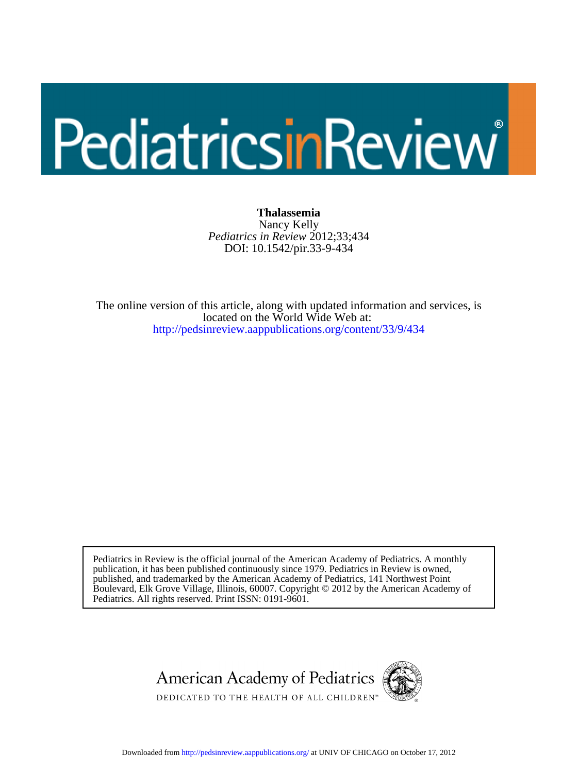# PediatricsinReview

DOI: 10.1542/pir.33-9-434 *Pediatrics in Review* 2012;33;434 Nancy Kelly **Thalassemia**

[http://pedsinreview.aappublications.org/content/33/9/434](http://http://pedsinreview.aappublications.org/content/33/9/434) located on the World Wide Web at: The online version of this article, along with updated information and services, is

Pediatrics. All rights reserved. Print ISSN: 0191-9601. Boulevard, Elk Grove Village, Illinois, 60007. Copyright © 2012 by the American Academy of published, and trademarked by the American Academy of Pediatrics, 141 Northwest Point publication, it has been published continuously since 1979. Pediatrics in Review is owned, Pediatrics in Review is the official journal of the American Academy of Pediatrics. A monthly



DEDICATED TO THE HEALTH OF ALL CHILDREN™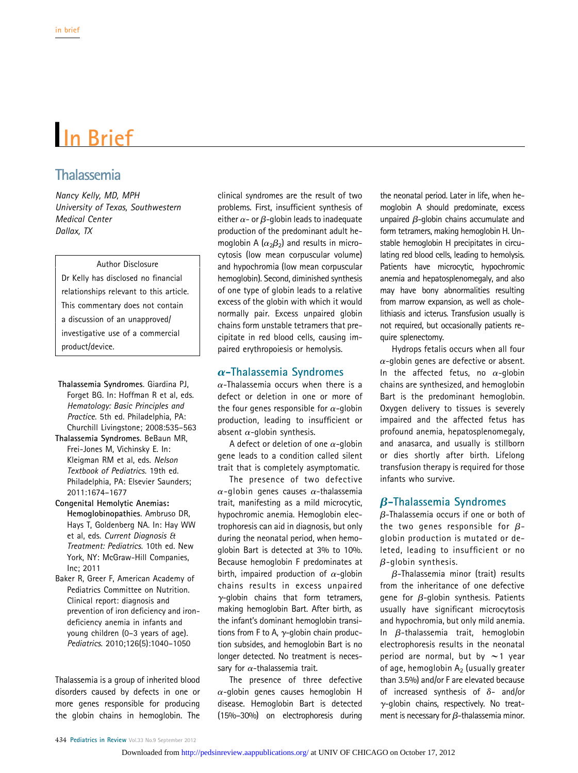## In Brief

### Thalassemia

Nancy Kelly, MD, MPH University of Texas, Southwestern Medical Center Dallax, TX

#### Author Disclosure

Dr Kelly has disclosed no financial relationships relevant to this article. This commentary does not contain a discussion of an unapproved/ investigative use of a commercial product/device.

- Thalassemia Syndromes. Giardina PJ, Forget BG. In: Hoffman R et al, eds. Hematology: Basic Principles and Practice. 5th ed. Philadelphia, PA: Churchill Livingstone; 2008:535–563
- Thalassemia Syndromes. BeBaun MR, Frei-Jones M, Vichinsky E. In: Kleigman RM et al, eds. Nelson Textbook of Pediatrics. 19th ed. Philadelphia, PA: Elsevier Saunders; 2011:1674–1677
- Congenital Hemolytic Anemias: Hemoglobinopathies. Ambruso DR, Hays T, Goldenberg NA. In: Hay WW et al, eds. Current Diagnosis & Treatment: Pediatrics. 10th ed. New York, NY: McGraw-Hill Companies, Inc; 2011
- Baker R, Greer F, American Academy of Pediatrics Committee on Nutrition. Clinical report: diagnosis and prevention of iron deficiency and irondeficiency anemia in infants and young children (0–3 years of age). Pediatrics. 2010;126(5):1040–1050

Thalassemia is a group of inherited blood disorders caused by defects in one or more genes responsible for producing the globin chains in hemoglobin. The

clinical syndromes are the result of two problems. First, insufficient synthesis of either  $\alpha$ - or  $\beta$ -globin leads to inadequate production of the predominant adult hemoglobin A  $(\alpha_2\beta_2)$  and results in microcytosis (low mean corpuscular volume) and hypochromia (low mean corpuscular hemoglobin). Second, diminished synthesis of one type of globin leads to a relative excess of the globin with which it would normally pair. Excess unpaired globin chains form unstable tetramers that precipitate in red blood cells, causing impaired erythropoiesis or hemolysis.

#### $\alpha$ -Thalassemia Syndromes

 $\alpha$ -Thalassemia occurs when there is a defect or deletion in one or more of the four genes responsible for  $\alpha$ -globin production, leading to insufficient or absent  $\alpha$ -globin synthesis.

A defect or deletion of one  $\alpha$ -globin gene leads to a condition called silent trait that is completely asymptomatic.

The presence of two defective  $\alpha$ -globin genes causes  $\alpha$ -thalassemia trait, manifesting as a mild microcytic, hypochromic anemia. Hemoglobin electrophoresis can aid in diagnosis, but only during the neonatal period, when hemoglobin Bart is detected at 3% to 10%. Because hemoglobin F predominates at birth, impaired production of  $\alpha$ -globin chains results in excess unpaired  $\gamma$ -globin chains that form tetramers, making hemoglobin Bart. After birth, as the infant's dominant hemoglobin transitions from F to A,  $\gamma$ -globin chain production subsides, and hemoglobin Bart is no longer detected. No treatment is necessary for  $\alpha$ -thalassemia trait.

The presence of three defective  $\alpha$ -globin genes causes hemoglobin H disease. Hemoglobin Bart is detected (15%–30%) on electrophoresis during

the neonatal period. Later in life, when hemoglobin A should predominate, excess unpaired  $\beta$ -globin chains accumulate and form tetramers, making hemoglobin H. Unstable hemoglobin H precipitates in circulating red blood cells, leading to hemolysis. Patients have microcytic, hypochromic anemia and hepatosplenomegaly, and also may have bony abnormalities resulting from marrow expansion, as well as cholelithiasis and icterus. Transfusion usually is not required, but occasionally patients require splenectomy.

Hydrops fetalis occurs when all four  $\alpha$ -globin genes are defective or absent. In the affected fetus, no  $\alpha$ -globin chains are synthesized, and hemoglobin Bart is the predominant hemoglobin. Oxygen delivery to tissues is severely impaired and the affected fetus has profound anemia, hepatosplenomegaly, and anasarca, and usually is stillborn or dies shortly after birth. Lifelong transfusion therapy is required for those infants who survive.

#### $\beta$ -Thalassemia Syndromes

 $\beta$ -Thalassemia occurs if one or both of the two genes responsible for  $\beta$ globin production is mutated or deleted, leading to insufficient or no  $\beta$ -globin synthesis.

 $\beta$ -Thalassemia minor (trait) results from the inheritance of one defective gene for  $\beta$ -globin synthesis. Patients usually have significant microcytosis and hypochromia, but only mild anemia. In  $\beta$ -thalassemia trait, hemoglobin electrophoresis results in the neonatal period are normal, but by  $\sim$  1 year of age, hemoglobin  $A_2$  (usually greater than 3.5%) and/or F are elevated because of increased synthesis of  $\delta$ - and/or  $\gamma$ -globin chains, respectively. No treatment is necessary for  $\beta$ -thalassemia minor.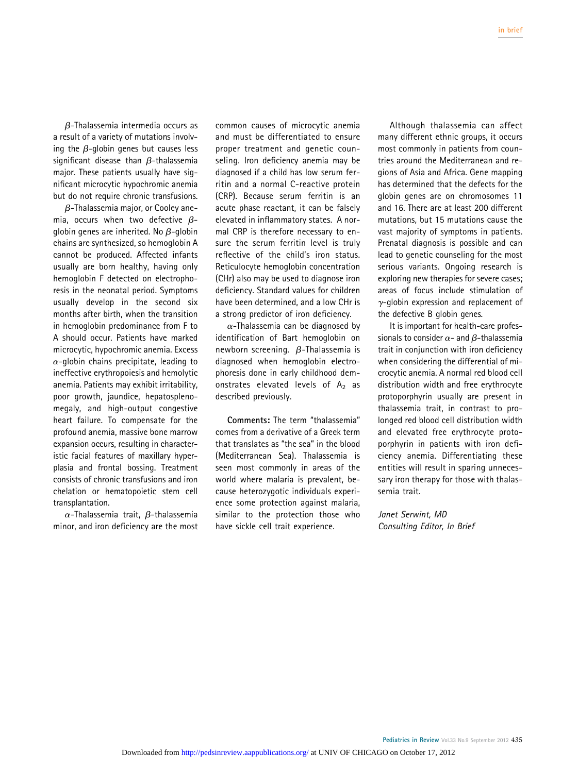$\beta$ -Thalassemia intermedia occurs as a result of a variety of mutations involving the  $\beta$ -globin genes but causes less significant disease than  $\beta$ -thalassemia major. These patients usually have significant microcytic hypochromic anemia but do not require chronic transfusions.

 $\beta$ -Thalassemia major, or Cooley anemia, occurs when two defective  $\beta$ globin genes are inherited. No  $\beta$ -globin chains are synthesized, so hemoglobin A cannot be produced. Affected infants usually are born healthy, having only hemoglobin F detected on electrophoresis in the neonatal period. Symptoms usually develop in the second six months after birth, when the transition in hemoglobin predominance from F to A should occur. Patients have marked microcytic, hypochromic anemia. Excess  $\alpha$ -globin chains precipitate, leading to ineffective erythropoiesis and hemolytic anemia. Patients may exhibit irritability, poor growth, jaundice, hepatosplenomegaly, and high-output congestive heart failure. To compensate for the profound anemia, massive bone marrow expansion occurs, resulting in characteristic facial features of maxillary hyperplasia and frontal bossing. Treatment consists of chronic transfusions and iron chelation or hematopoietic stem cell transplantation.

 $\alpha$ -Thalassemia trait,  $\beta$ -thalassemia minor, and iron deficiency are the most common causes of microcytic anemia and must be differentiated to ensure proper treatment and genetic counseling. Iron deficiency anemia may be diagnosed if a child has low serum ferritin and a normal C-reactive protein (CRP). Because serum ferritin is an acute phase reactant, it can be falsely elevated in inflammatory states. A normal CRP is therefore necessary to ensure the serum ferritin level is truly reflective of the child's iron status. Reticulocyte hemoglobin concentration (CHr) also may be used to diagnose iron deficiency. Standard values for children have been determined, and a low CHr is a strong predictor of iron deficiency.

 $\alpha$ -Thalassemia can be diagnosed by identification of Bart hemoglobin on newborn screening.  $\beta$ -Thalassemia is diagnosed when hemoglobin electrophoresis done in early childhood demonstrates elevated levels of  $A_2$  as described previously.

Comments: The term "thalassemia" comes from a derivative of a Greek term that translates as "the sea" in the blood (Mediterranean Sea). Thalassemia is seen most commonly in areas of the world where malaria is prevalent, because heterozygotic individuals experience some protection against malaria, similar to the protection those who have sickle cell trait experience.

Although thalassemia can affect many different ethnic groups, it occurs most commonly in patients from countries around the Mediterranean and regions of Asia and Africa. Gene mapping has determined that the defects for the globin genes are on chromosomes 11 and 16. There are at least 200 different mutations, but 15 mutations cause the vast majority of symptoms in patients. Prenatal diagnosis is possible and can lead to genetic counseling for the most serious variants. Ongoing research is exploring new therapies for severe cases; areas of focus include stimulation of  $\gamma$ -globin expression and replacement of the defective B globin genes.

It is important for health-care professionals to consider  $\alpha$ - and  $\beta$ -thalassemia trait in conjunction with iron deficiency when considering the differential of microcytic anemia. A normal red blood cell distribution width and free erythrocyte protoporphyrin usually are present in thalassemia trait, in contrast to prolonged red blood cell distribution width and elevated free erythrocyte protoporphyrin in patients with iron deficiency anemia. Differentiating these entities will result in sparing unnecessary iron therapy for those with thalassemia trait.

Janet Serwint, MD Consulting Editor, In Brief